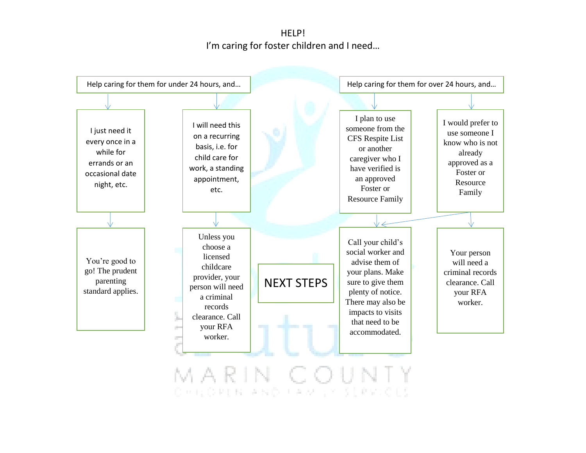HELP! I'm caring for foster children and I need…



MARIN COUNTY<br>Concopus and Camero services